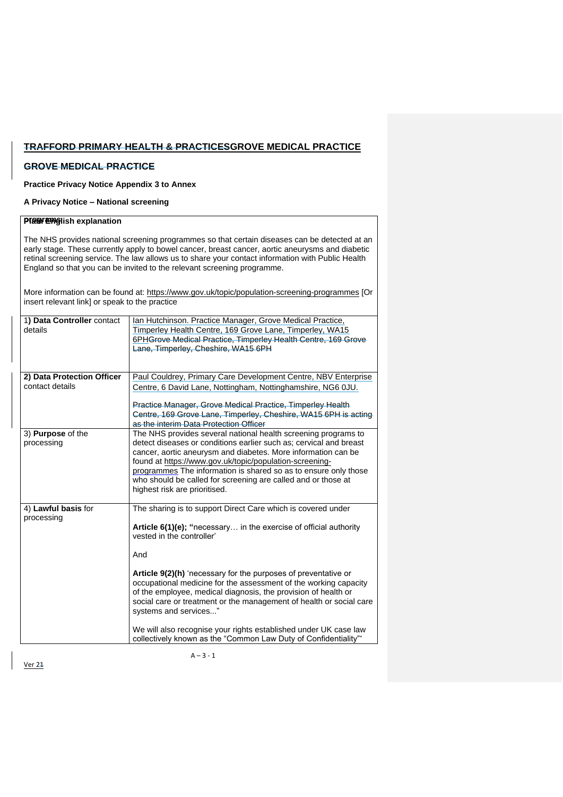# **TRAFFORD PRIMARY HEALTH & PRACTICESGROVE MEDICAL PRACTICE**

# **GROVE MEDICAL PRACTICE**

## **Practice Privacy Notice Appendix 3 to Annex**

### **A Privacy Notice – National screening**

## **Play English explanation**

The NHS provides national screening programmes so that certain diseases can be detected at an early stage. These currently apply to bowel cancer, breast cancer, aortic aneurysms and diabetic retinal screening service. The law allows us to share your contact information with Public Health England so that you can be invited to the relevant screening programme.

More information can be found at: <https://www.gov.uk/topic/population-screening-programmes> [Or insert relevant link] or speak to the practice

| 1) Data Controller contact<br>details  | Ian Hutchinson. Practice Manager, Grove Medical Practice,<br>Timperley Health Centre, 169 Grove Lane, Timperley, WA15<br>6PHGrove Medical Practice, Timperley Health Centre, 169 Grove<br>Lane, Timperley, Cheshire, WA15 6PH                                                                                                                                                                                                         |
|----------------------------------------|---------------------------------------------------------------------------------------------------------------------------------------------------------------------------------------------------------------------------------------------------------------------------------------------------------------------------------------------------------------------------------------------------------------------------------------|
| 2) Data Protection Officer             | Paul Couldrey, Primary Care Development Centre, NBV Enterprise                                                                                                                                                                                                                                                                                                                                                                        |
| contact details                        | Centre, 6 David Lane, Nottingham, Nottinghamshire, NG6 0JU.                                                                                                                                                                                                                                                                                                                                                                           |
|                                        | Practice Manager, Grove Medical Practice, Timperley Health<br>Centre, 169 Grove Lane, Timperley, Cheshire, WA15 6PH is acting<br>as the interim Data Protection Officer                                                                                                                                                                                                                                                               |
| 3) <b>Purpose</b> of the<br>processing | The NHS provides several national health screening programs to<br>detect diseases or conditions earlier such as; cervical and breast<br>cancer, aortic aneurysm and diabetes. More information can be<br>found at https://www.gov.uk/topic/population-screening-<br>programmes The information is shared so as to ensure only those<br>who should be called for screening are called and or those at<br>highest risk are prioritised. |
| 4) Lawful basis for<br>processing      | The sharing is to support Direct Care which is covered under                                                                                                                                                                                                                                                                                                                                                                          |
|                                        | Article 6(1)(e); "necessary in the exercise of official authority<br>vested in the controller'                                                                                                                                                                                                                                                                                                                                        |
|                                        | And                                                                                                                                                                                                                                                                                                                                                                                                                                   |
|                                        | <b>Article 9(2)(h)</b> 'necessary for the purposes of preventative or<br>occupational medicine for the assessment of the working capacity<br>of the employee, medical diagnosis, the provision of health or<br>social care or treatment or the management of health or social care<br>systems and services"                                                                                                                           |
|                                        | We will also recognise your rights established under UK case law<br>collectively known as the "Common Law Duty of Confidentiality"*                                                                                                                                                                                                                                                                                                   |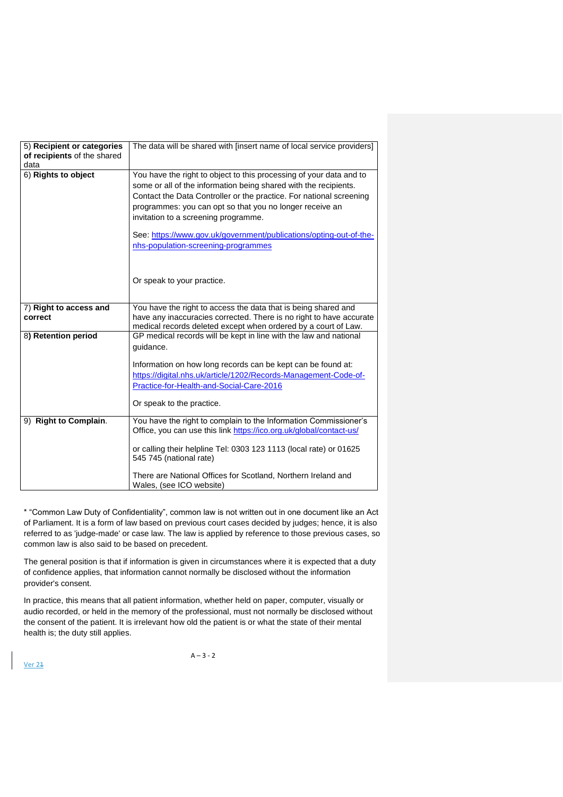| 5) Recipient or categories<br>of recipients of the shared<br>data | The data will be shared with [insert name of local service providers]                                                                                                                                                                                                                                                                                                                                                                                         |
|-------------------------------------------------------------------|---------------------------------------------------------------------------------------------------------------------------------------------------------------------------------------------------------------------------------------------------------------------------------------------------------------------------------------------------------------------------------------------------------------------------------------------------------------|
| 6) Rights to object                                               | You have the right to object to this processing of your data and to<br>some or all of the information being shared with the recipients.<br>Contact the Data Controller or the practice. For national screening<br>programmes: you can opt so that you no longer receive an<br>invitation to a screening programme.<br>See: https://www.gov.uk/government/publications/opting-out-of-the-<br>nhs-population-screening-programmes<br>Or speak to your practice. |
| 7) Right to access and<br>correct                                 | You have the right to access the data that is being shared and<br>have any inaccuracies corrected. There is no right to have accurate<br>medical records deleted except when ordered by a court of Law.                                                                                                                                                                                                                                                       |
| 8) Retention period                                               | GP medical records will be kept in line with the law and national<br>guidance.<br>Information on how long records can be kept can be found at:<br>https://digital.nhs.uk/article/1202/Records-Management-Code-of-<br>Practice-for-Health-and-Social-Care-2016<br>Or speak to the practice.                                                                                                                                                                    |
| <b>Right to Complain.</b><br>9)                                   | You have the right to complain to the Information Commissioner's<br>Office, you can use this link https://ico.org.uk/global/contact-us/<br>or calling their helpline Tel: 0303 123 1113 (local rate) or 01625<br>545 745 (national rate)<br>There are National Offices for Scotland, Northern Ireland and<br>Wales, (see ICO website)                                                                                                                         |

\* "Common Law Duty of Confidentiality", common law is not written out in one document like an Act of Parliament. It is a form of law based on previous court cases decided by judges; hence, it is also referred to as 'judge-made' or case law. The law is applied by reference to those previous cases, so common law is also said to be based on precedent.

The general position is that if information is given in circumstances where it is expected that a duty of confidence applies, that information cannot normally be disclosed without the information provider's consent.

In practice, this means that all patient information, whether held on paper, computer, visually or audio recorded, or held in the memory of the professional, must not normally be disclosed without the consent of the patient. It is irrelevant how old the patient is or what the state of their mental health is; the duty still applies.

**Ver 24** 

 $A - 3 - 2$